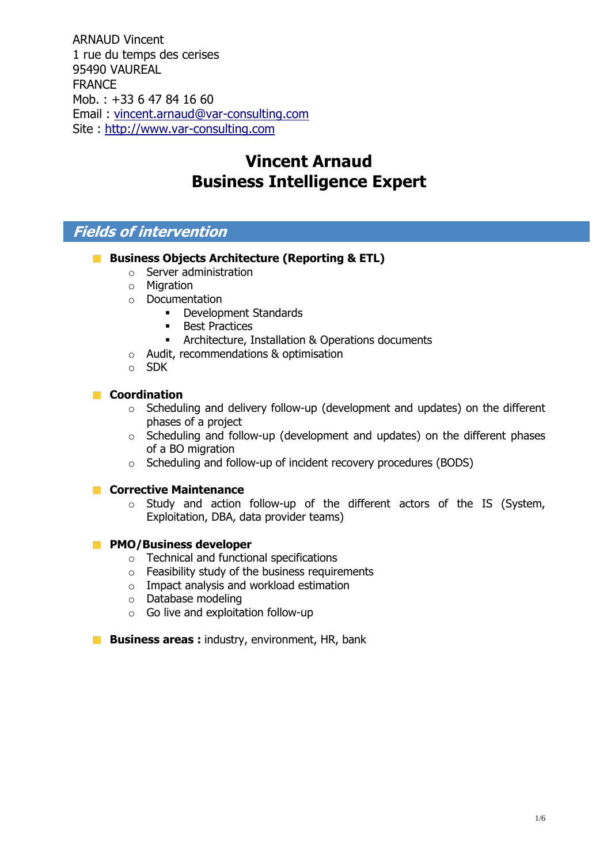ARNAUD Vincent 1 rue du temps des cerises 95490 VAUREAL FRANCE Mob. : +33 6 47 84 16 60 Email : [vincent.arnaud@var-consulting.com](mailto:vincent.arnaud@var-consulting.com) Site : [http://www.var-consulting.com](http://www.var-consulting.com/)

# **Vincent Arnaud Business Intelligence Expert**

## **Fields of intervention**

- **Business Objects Architecture (Reporting & ETL)** 
	- o Server administration
	- o Migration
	- o Documentation
		- **-** Development Standards
		- **Best Practices**
		- **EXP** Architecture, Installation & Operations documents
	- o Audit, recommendations & optimisation
	- o SDK

### **Coordination**

- o Scheduling and delivery follow-up (development and updates) on the different phases of a project
- o Scheduling and follow-up (development and updates) on the different phases of a BO migration
- o Scheduling and follow-up of incident recovery procedures (BODS)

### **Corrective Maintenance**

o Study and action follow-up of the different actors of the IS (System, Exploitation, DBA, data provider teams)

### **PMO/Business developer**

- o Technical and functional specifications
- o Feasibility study of the business requirements
- o Impact analysis and workload estimation
- o Database modeling
- $\circ$  Go live and exploitation follow-up
- **Business areas :** industry, environment, HR, bank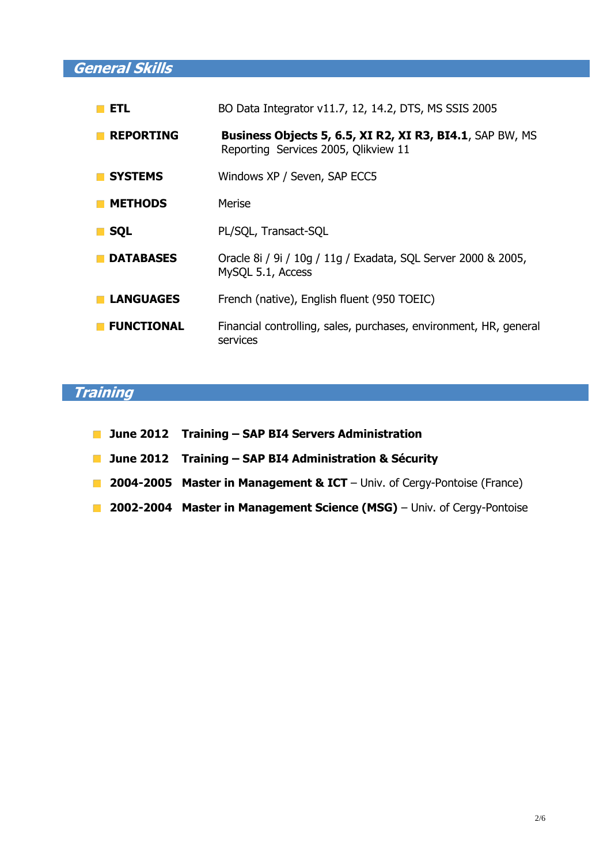**General Skills**

| <b>ETL</b>        | BO Data Integrator v11.7, 12, 14.2, DTS, MS SSIS 2005                                            |
|-------------------|--------------------------------------------------------------------------------------------------|
| <b>REPORTING</b>  | Business Objects 5, 6.5, XI R2, XI R3, BI4.1, SAP BW, MS<br>Reporting Services 2005, Olikview 11 |
| <b>SYSTEMS</b>    | Windows XP / Seven, SAP ECC5                                                                     |
| <b>METHODS</b>    | Merise                                                                                           |
| <b>SQL</b>        | PL/SQL, Transact-SQL                                                                             |
| <b>DATABASES</b>  | Oracle 8i / 9i / 10g / 11g / Exadata, SQL Server 2000 & 2005,<br>MySQL 5.1, Access               |
| <b>LANGUAGES</b>  | French (native), English fluent (950 TOEIC)                                                      |
| <b>FUNCTIONAL</b> | Financial controlling, sales, purchases, environment, HR, general<br>services                    |

# **Training**

- **June 2012 Training – SAP BI4 Servers Administration**
- **June 2012 Training – SAP BI4 Administration & Sécurity**
- **2004-2005 Master in Management & ICT** Univ. of Cergy-Pontoise (France)
- **2002-2004 Master in Management Science (MSG)** Univ. of Cergy-Pontoise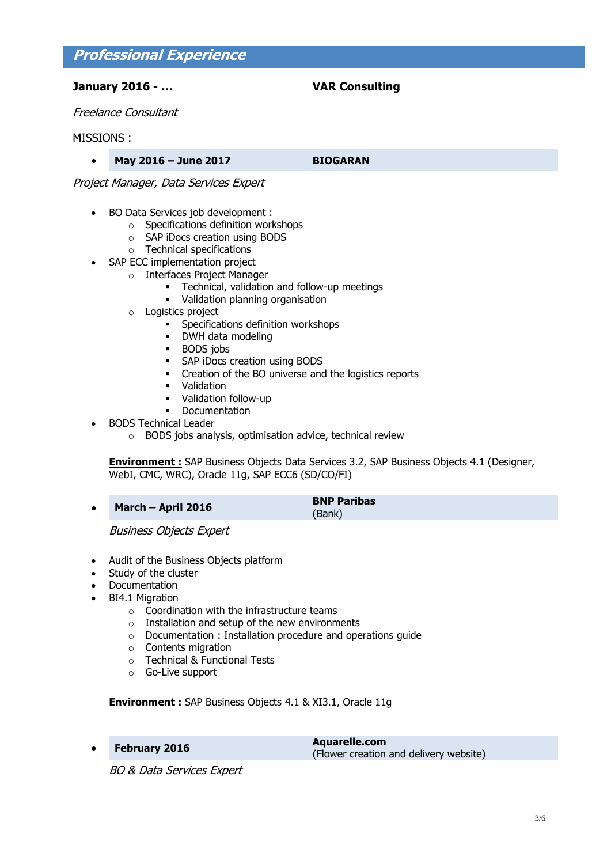## **Professional Experience**

### **January 2016 - … VAR Consulting**

Freelance Consultant

### MISSIONS :

**May 2016 – June 2017 BIOGARAN**

Project Manager, Data Services Expert

- BO Data Services job development :
	- o Specifications definition workshops
	- o SAP iDocs creation using BODS
	- o Technical specifications
- SAP ECC implementation project
	- o Interfaces Project Manager
		- **EXEC** Technical, validation and follow-up meetings
		- Validation planning organisation
		- o Logistics project
			- **Specifications definition workshops**
			- DWH data modeling
			- BODS jobs
			- **SAP iDocs creation using BODS**
			- Creation of the BO universe and the logistics reports
			- **•** Validation
			- Validation follow-up
			- Documentation
- BODS Technical Leader
	- o BODS jobs analysis, optimisation advice, technical review

**Environment :** SAP Business Objects Data Services 3.2, SAP Business Objects 4.1 (Designer, WebI, CMC, WRC), Oracle 11g, SAP ECC6 (SD/CO/FI)

**March – April 2016 BNP Paribas**

(Bank)

Business Objects Expert

- Audit of the Business Objects platform
- Study of the cluster
- Documentation
- BI4.1 Migration
	- o Coordination with the infrastructure teams
	- o Installation and setup of the new environments
	- o Documentation : Installation procedure and operations guide
	- o Contents migration
	- o Technical & Functional Tests
	- o Go-Live support

**Environment :** SAP Business Objects 4.1 & XI3.1, Oracle 11g

 **February <sup>2016</sup> Aquarelle.com** (Flower creation and delivery website)

BO & Data Services Expert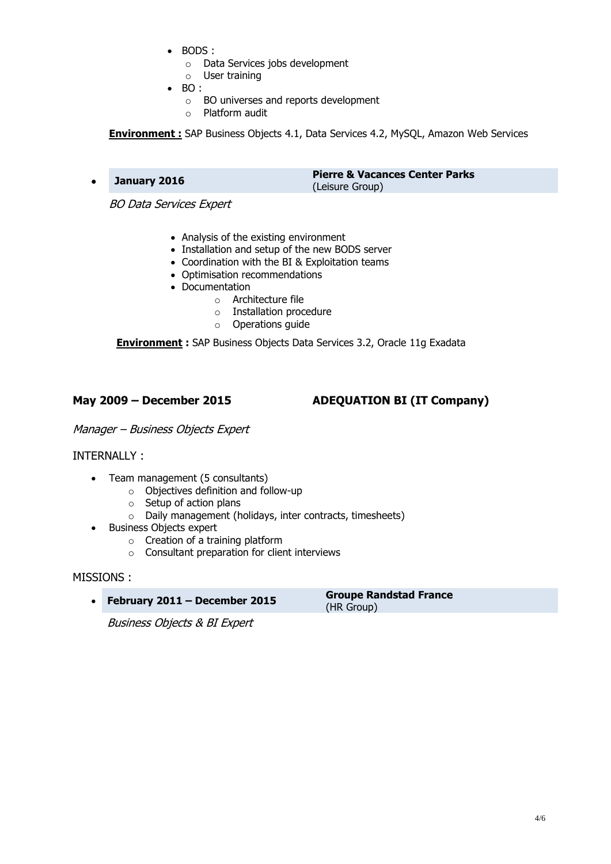BODS :

o Data Services jobs development o User training

- 
- $\bullet$  BO :
	- o BO universes and reports development
	- o Platform audit

**Environment :** SAP Business Objects 4.1, Data Services 4.2, MySQL, Amazon Web Services

 **January <sup>2016</sup> Pierre & Vacances Center Parks** (Leisure Group)

BO Data Services Expert

- Analysis of the existing environment
- Installation and setup of the new BODS server
- Coordination with the BI & Exploitation teams
- Optimisation recommendations
- Documentation
	- o Architecture file
	- o Installation procedure
	- o Operations guide

**Environment :** SAP Business Objects Data Services 3.2, Oracle 11g Exadata

### **May 2009 – December 2015 ADEQUATION BI (IT Company)**

Manager – Business Objects Expert

### INTERNALLY :

- Team management (5 consultants)
	- o Objectives definition and follow-up
	- o Setup of action plans
	- o Daily management (holidays, inter contracts, timesheets)
- Business Objects expert
	- o Creation of a training platform
	- o Consultant preparation for client interviews

### MISSIONS :

**February <sup>2011</sup>– December <sup>2015</sup> Groupe Randstad France**

(HR Group)

Business Objects & BI Expert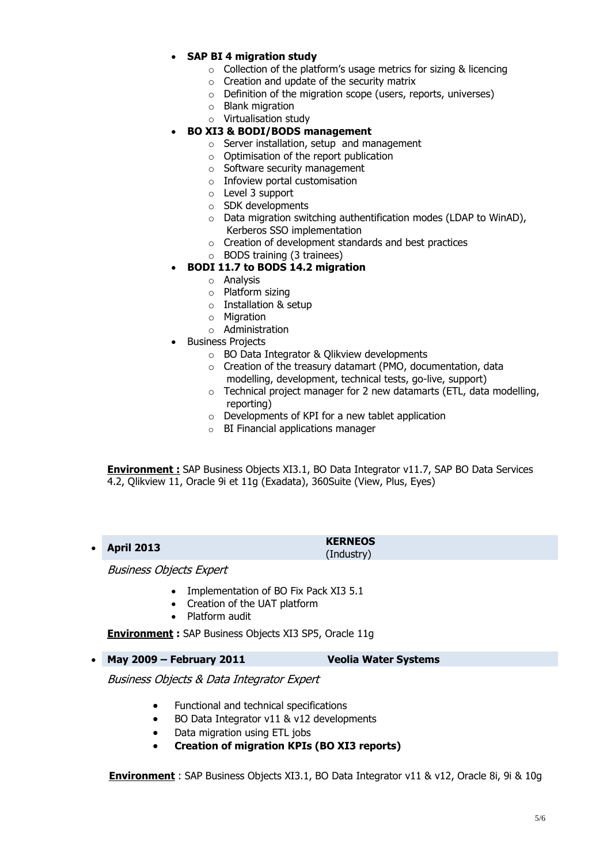### **SAP BI 4 migration study**

- o Collection of the platform's usage metrics for sizing & licencing
- o Creation and update of the security matrix
- o Definition of the migration scope (users, reports, universes)
- o Blank migration
- o Virtualisation study

### **BO XI3 & BODI/BODS management**

- o Server installation, setup and management
- $\circ$  Optimisation of the report publication
- o Software security management
- o Infoview portal customisation
- o Level 3 support
- o SDK developments
- $\circ$  Data migration switching authentification modes (LDAP to WinAD), Kerberos SSO implementation
- o Creation of development standards and best practices
- o BODS training (3 trainees)

### **BODI 11.7 to BODS 14.2 migration**

- o Analysis
- o Platform sizing
- o Installation & setup
- o Migration
- o Administration
- Business Projects
	- o BO Data Integrator & Qlikview developments
	- o Creation of the treasury datamart (PMO, documentation, data modelling, development, technical tests, go-live, support)
	- $\circ$  Technical project manager for 2 new datamarts (ETL, data modelling, reporting)
	- o Developments of KPI for a new tablet application
	- o BI Financial applications manager

**Environment :** SAP Business Objects XI3.1, BO Data Integrator v11.7, SAP BO Data Services 4.2, Qlikview 11, Oracle 9i et 11g (Exadata), 360Suite (View, Plus, Eyes)

 **April 2013 KERNEOS** (Industry)

Business Objects Expert

- Implementation of BO Fix Pack XI3 5.1
- Creation of the UAT platform
- Platform audit

**Environment :** SAP Business Objects XI3 SP5, Oracle 11g

**May 2009 – February 2011 Veolia Water Systems** 

Business Objects & Data Integrator Expert

- Functional and technical specifications
- BO Data Integrator v11 & v12 developments
- Data migration using ETL jobs
- **Creation of migration KPIs (BO XI3 reports)**

**Environment** : SAP Business Objects XI3.1, BO Data Integrator v11 & v12, Oracle 8i, 9i & 10g